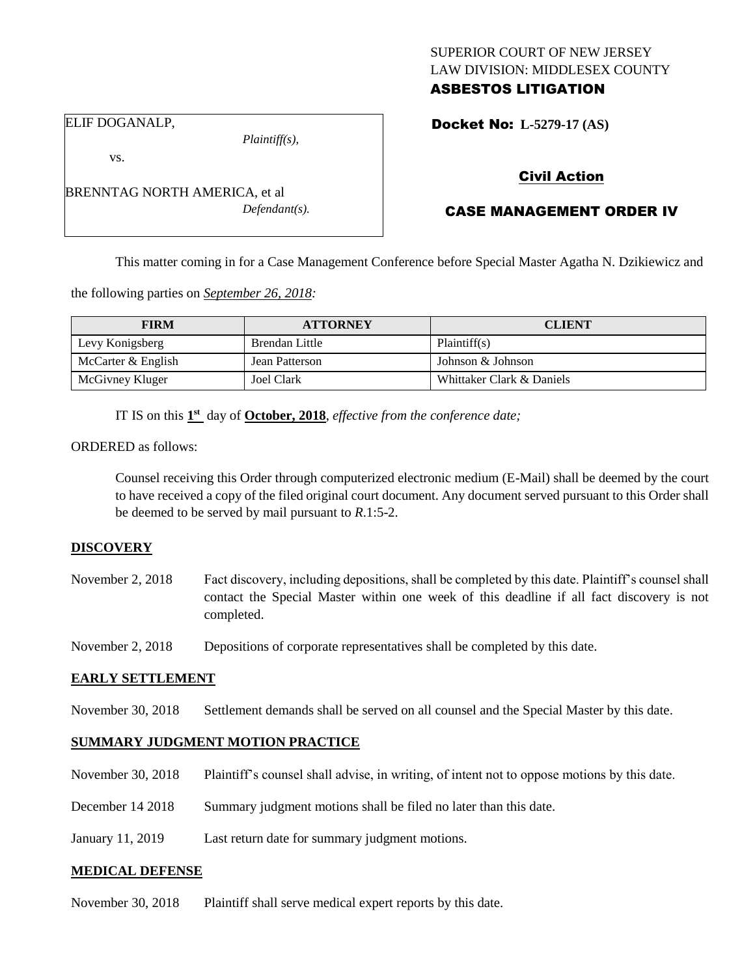# SUPERIOR COURT OF NEW JERSEY LAW DIVISION: MIDDLESEX COUNTY ASBESTOS LITIGATION

ELIF DOGANALP,

vs.

*Plaintiff(s),*

*Defendant(s).*

Docket No: **L-5279-17 (AS)** 

# Civil Action

# CASE MANAGEMENT ORDER IV

This matter coming in for a Case Management Conference before Special Master Agatha N. Dzikiewicz and

the following parties on *September 26, 2018:*

BRENNTAG NORTH AMERICA, et al

| <b>FIRM</b>        | <b>ATTORNEY</b> | <b>CLIENT</b>             |
|--------------------|-----------------|---------------------------|
| Levy Konigsberg    | Brendan Little  | Plaintiff(s)              |
| McCarter & English | Jean Patterson  | Johnson & Johnson         |
| McGivney Kluger    | Joel Clark      | Whittaker Clark & Daniels |

IT IS on this  $1<sup>st</sup>$  day of **October, 2018**, *effective from the conference date*;

ORDERED as follows:

Counsel receiving this Order through computerized electronic medium (E-Mail) shall be deemed by the court to have received a copy of the filed original court document. Any document served pursuant to this Order shall be deemed to be served by mail pursuant to *R*.1:5-2.

#### **DISCOVERY**

November 2, 2018 Fact discovery, including depositions, shall be completed by this date. Plaintiff's counsel shall contact the Special Master within one week of this deadline if all fact discovery is not completed.

November 2, 2018 Depositions of corporate representatives shall be completed by this date.

#### **EARLY SETTLEMENT**

November 30, 2018 Settlement demands shall be served on all counsel and the Special Master by this date.

#### **SUMMARY JUDGMENT MOTION PRACTICE**

- November 30, 2018 Plaintiff's counsel shall advise, in writing, of intent not to oppose motions by this date.
- December 14 2018 Summary judgment motions shall be filed no later than this date.
- January 11, 2019 Last return date for summary judgment motions.

#### **MEDICAL DEFENSE**

November 30, 2018 Plaintiff shall serve medical expert reports by this date.